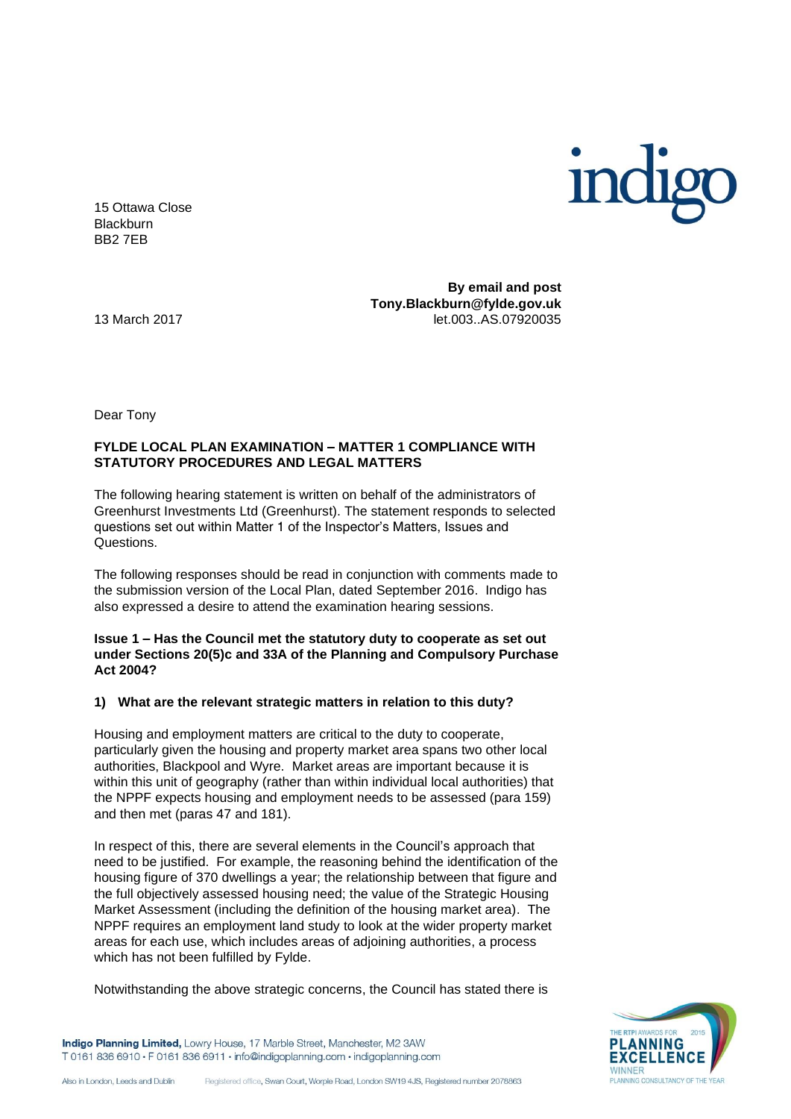

15 Ottawa Close **Blackburn** BB2 7EB

**By email and post Tony.Blackburn@fylde.gov.uk** 13 March 2017 let.003..AS.07920035

Dear Tony

## **FYLDE LOCAL PLAN EXAMINATION – MATTER 1 COMPLIANCE WITH STATUTORY PROCEDURES AND LEGAL MATTERS**

The following hearing statement is written on behalf of the administrators of Greenhurst Investments Ltd (Greenhurst). The statement responds to selected questions set out within Matter 1 of the Inspector's Matters, Issues and Questions.

The following responses should be read in conjunction with comments made to the submission version of the Local Plan, dated September 2016. Indigo has also expressed a desire to attend the examination hearing sessions.

**Issue 1 – Has the Council met the statutory duty to cooperate as set out under Sections 20(5)c and 33A of the Planning and Compulsory Purchase Act 2004?**

### **1) What are the relevant strategic matters in relation to this duty?**

Housing and employment matters are critical to the duty to cooperate, particularly given the housing and property market area spans two other local authorities, Blackpool and Wyre. Market areas are important because it is within this unit of geography (rather than within individual local authorities) that the NPPF expects housing and employment needs to be assessed (para 159) and then met (paras 47 and 181).

In respect of this, there are several elements in the Council's approach that need to be justified. For example, the reasoning behind the identification of the housing figure of 370 dwellings a year; the relationship between that figure and the full objectively assessed housing need; the value of the Strategic Housing Market Assessment (including the definition of the housing market area). The NPPF requires an employment land study to look at the wider property market areas for each use, which includes areas of adjoining authorities, a process which has not been fulfilled by Fylde.

Notwithstanding the above strategic concerns, the Council has stated there is

PLANNING CONSULTANCY

Indigo Planning Limited, Lowry House, 17 Marble Street, Manchester, M2 3AW T 0161 836 6910 · F 0161 836 6911 · info@indigoplanning.com · indigoplanning.com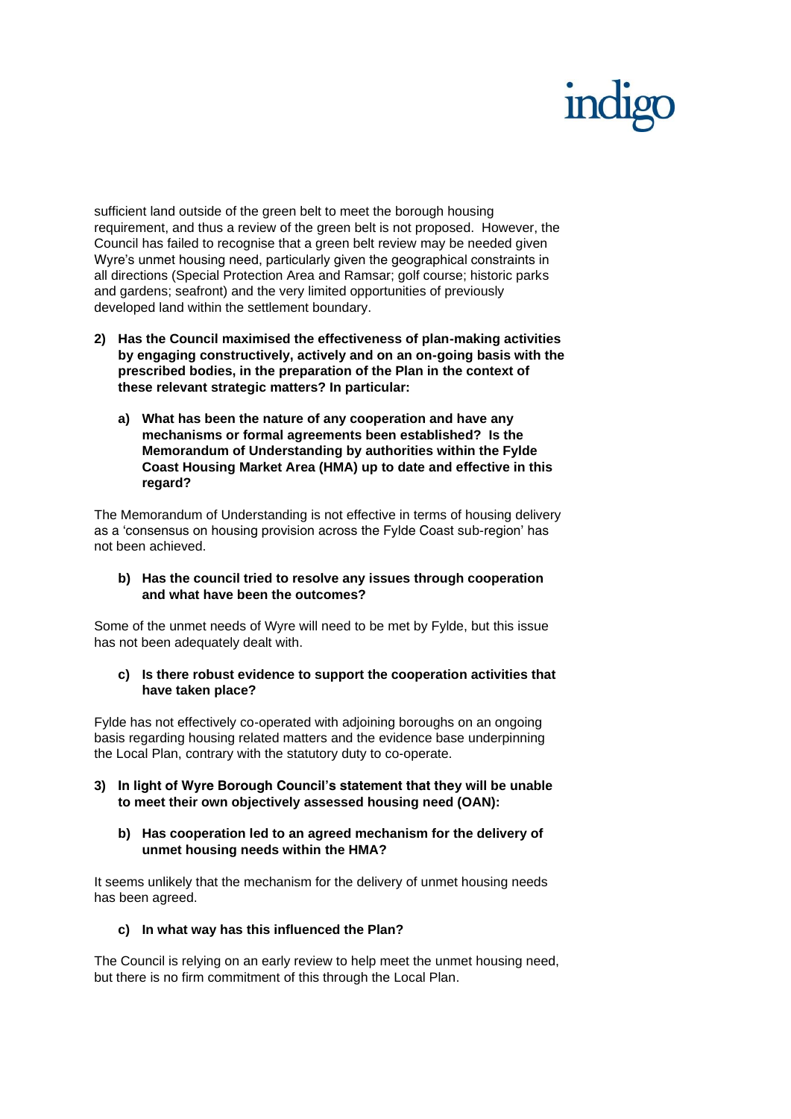sufficient land outside of the green belt to meet the borough housing requirement, and thus a review of the green belt is not proposed. However, the Council has failed to recognise that a green belt review may be needed given Wyre's unmet housing need, particularly given the geographical constraints in all directions (Special Protection Area and Ramsar; golf course; historic parks and gardens; seafront) and the very limited opportunities of previously developed land within the settlement boundary.

- **2) Has the Council maximised the effectiveness of plan-making activities by engaging constructively, actively and on an on-going basis with the prescribed bodies, in the preparation of the Plan in the context of these relevant strategic matters? In particular:**
	- **a) What has been the nature of any cooperation and have any mechanisms or formal agreements been established? Is the Memorandum of Understanding by authorities within the Fylde Coast Housing Market Area (HMA) up to date and effective in this regard?**

The Memorandum of Understanding is not effective in terms of housing delivery as a 'consensus on housing provision across the Fylde Coast sub-region' has not been achieved.

**b) Has the council tried to resolve any issues through cooperation and what have been the outcomes?**

Some of the unmet needs of Wyre will need to be met by Fylde, but this issue has not been adequately dealt with.

**c) Is there robust evidence to support the cooperation activities that have taken place?**

Fylde has not effectively co-operated with adjoining boroughs on an ongoing basis regarding housing related matters and the evidence base underpinning the Local Plan, contrary with the statutory duty to co-operate.

- **3) In light of Wyre Borough Council's statement that they will be unable to meet their own objectively assessed housing need (OAN):**
	- **b) Has cooperation led to an agreed mechanism for the delivery of unmet housing needs within the HMA?**

It seems unlikely that the mechanism for the delivery of unmet housing needs has been agreed.

**c) In what way has this influenced the Plan?**

The Council is relying on an early review to help meet the unmet housing need, but there is no firm commitment of this through the Local Plan.